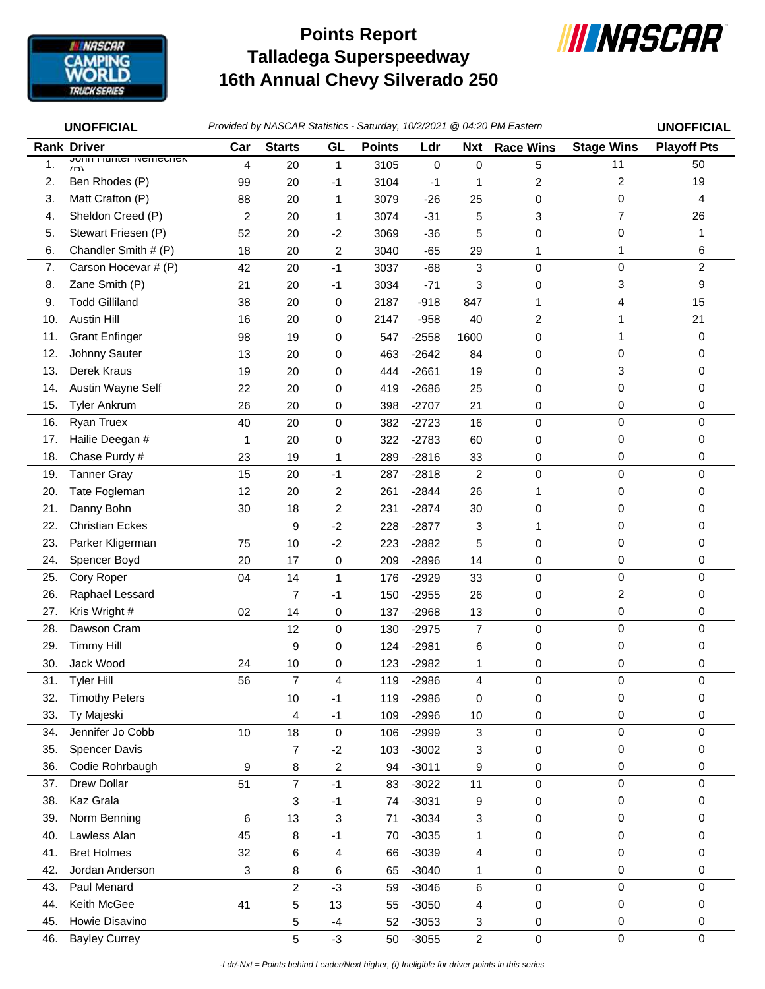

## **Talladega Superspeedway 16th Annual Chevy Silverado 250 Points Report**



|     | <b>UNOFFICIAL</b>                             |                |                |                         |               |         |                | Provided by NASCAR Statistics - Saturday, 10/2/2021 @ 04:20 PM Eastern |                   | <b>UNOFFICIAL</b>  |
|-----|-----------------------------------------------|----------------|----------------|-------------------------|---------------|---------|----------------|------------------------------------------------------------------------|-------------------|--------------------|
|     | <b>Rank Driver</b>                            | Car            | <b>Starts</b>  | GL                      | <b>Points</b> | Ldr     | Nxt            | <b>Race Wins</b>                                                       | <b>Stage Wins</b> | <b>Playoff Pts</b> |
| 1.  | <b>JUILLITUIREL INCITICATEV</b><br>$\sqrt{D}$ | 4              | 20             | $\mathbf{1}$            | 3105          | 0       | 0              | 5                                                                      | 11                | 50                 |
| 2.  | Ben Rhodes (P)                                | 99             | 20             | -1                      | 3104          | $-1$    | 1              | $\overline{c}$                                                         | 2                 | 19                 |
| 3.  | Matt Crafton (P)                              | 88             | 20             | 1                       | 3079          | $-26$   | 25             | 0                                                                      | 0                 | 4                  |
| 4.  | Sheldon Creed (P)                             | $\overline{c}$ | 20             | $\mathbf{1}$            | 3074          | $-31$   | 5              | 3                                                                      | $\overline{7}$    | 26                 |
| 5.  | Stewart Friesen (P)                           | 52             | 20             | $-2$                    | 3069          | $-36$   | 5              | 0                                                                      | 0                 | 1                  |
| 6.  | Chandler Smith # (P)                          | 18             | 20             | $\overline{\mathbf{c}}$ | 3040          | $-65$   | 29             | 1                                                                      | 1                 | 6                  |
| 7.  | Carson Hocevar # (P)                          | 42             | 20             | $-1$                    | 3037          | $-68$   | 3              | 0                                                                      | 0                 | $\overline{c}$     |
| 8.  | Zane Smith (P)                                | 21             | 20             | -1                      | 3034          | $-71$   | 3              | 0                                                                      | 3                 | 9                  |
| 9.  | <b>Todd Gilliland</b>                         | 38             | 20             | 0                       | 2187          | $-918$  | 847            | 1                                                                      | 4                 | 15                 |
| 10. | <b>Austin Hill</b>                            | 16             | 20             | $\pmb{0}$               | 2147          | $-958$  | 40             | $\overline{c}$                                                         | 1                 | 21                 |
| 11. | <b>Grant Enfinger</b>                         | 98             | 19             | 0                       | 547           | $-2558$ | 1600           | 0                                                                      | 1                 | 0                  |
| 12. | Johnny Sauter                                 | 13             | 20             | 0                       | 463           | $-2642$ | 84             | 0                                                                      | 0                 | 0                  |
| 13. | Derek Kraus                                   | 19             | 20             | $\mathbf 0$             | 444           | $-2661$ | 19             | 0                                                                      | 3                 | 0                  |
| 14. | Austin Wayne Self                             | 22             | 20             | 0                       | 419           | $-2686$ | 25             | 0                                                                      | 0                 | 0                  |
| 15. | <b>Tyler Ankrum</b>                           | 26             | 20             | 0                       | 398           | $-2707$ | 21             | 0                                                                      | 0                 | 0                  |
| 16. | Ryan Truex                                    | 40             | 20             | $\pmb{0}$               | 382           | $-2723$ | 16             | $\mathbf 0$                                                            | 0                 | 0                  |
| 17. | Hailie Deegan #                               | 1              | 20             | 0                       | 322           | $-2783$ | 60             | 0                                                                      | 0                 | 0                  |
| 18. | Chase Purdy #                                 | 23             | 19             | 1                       | 289           | $-2816$ | 33             | 0                                                                      | 0                 | 0                  |
| 19. | <b>Tanner Gray</b>                            | 15             | 20             | $-1$                    | 287           | $-2818$ | $\overline{2}$ | $\mathbf 0$                                                            | 0                 | 0                  |
| 20. | Tate Fogleman                                 | 12             | 20             | $\overline{c}$          | 261           | $-2844$ | 26             | 1                                                                      | 0                 | 0                  |
| 21. | Danny Bohn                                    | 30             | 18             | 2                       | 231           | $-2874$ | 30             | 0                                                                      | 0                 | 0                  |
| 22. | <b>Christian Eckes</b>                        |                | 9              | $-2$                    | 228           | $-2877$ | 3              | $\mathbf{1}$                                                           | 0                 | $\Omega$           |
| 23. | Parker Kligerman                              | 75             | 10             | $-2$                    | 223           | $-2882$ | 5              | 0                                                                      | 0                 | 0                  |
| 24. | Spencer Boyd                                  | 20             | 17             | 0                       | 209           | $-2896$ | 14             | 0                                                                      | 0                 | 0                  |
| 25. | Cory Roper                                    | 04             | 14             | $\mathbf{1}$            | 176           | $-2929$ | 33             | $\mathbf 0$                                                            | 0                 | 0                  |
| 26. | Raphael Lessard                               |                | 7              | -1                      | 150           | $-2955$ | 26             | 0                                                                      | 2                 | 0                  |
| 27. | Kris Wright #                                 | 02             | 14             | 0                       | 137           | $-2968$ | 13             | 0                                                                      | 0                 | 0                  |
| 28. | Dawson Cram                                   |                | 12             | 0                       | 130           | $-2975$ | $\overline{7}$ | 0                                                                      | 0                 | 0                  |
| 29. | <b>Timmy Hill</b>                             |                | 9              | 0                       | 124           | $-2981$ | 6              | 0                                                                      | 0                 | 0                  |
| 30. | Jack Wood                                     | 24             | 10             | 0                       | 123           | $-2982$ | 1              | 0                                                                      | 0                 | 0                  |
| 31. | Tyler Hill                                    | 56             |                | 4                       | 119           | $-2986$ | 4              | 0                                                                      | 0                 | 0                  |
| 32. | <b>Timothy Peters</b>                         |                | 10             | $-1$                    | 119           | $-2986$ | 0              | 0                                                                      | 0                 | 0                  |
| 33. | Ty Majeski                                    |                | 4              | $-1$                    | 109           | $-2996$ | 10             | 0                                                                      | 0                 | 0                  |
| 34. | Jennifer Jo Cobb                              | 10             | 18             | $\pmb{0}$               | 106           | $-2999$ | 3              | 0                                                                      | 0                 | 0                  |
| 35. | <b>Spencer Davis</b>                          |                | 7              | $-2$                    | 103           | $-3002$ | 3              | 0                                                                      | 0                 | 0                  |
| 36. | Codie Rohrbaugh                               | 9              | 8              | $\overline{\mathbf{c}}$ | 94            | $-3011$ | 9              | 0                                                                      | 0                 | 0                  |
| 37. | Drew Dollar                                   | 51             | $\overline{7}$ | $-1$                    | 83            | $-3022$ | 11             | $\pmb{0}$                                                              | 0                 | $\mathbf 0$        |
| 38. | Kaz Grala                                     |                | 3              | $-1$                    | 74            | $-3031$ | 9              | 0                                                                      | 0                 | 0                  |
| 39. | Norm Benning                                  | 6              | 13             | 3                       | 71            | $-3034$ | 3              | 0                                                                      | 0                 | 0                  |
| 40. | Lawless Alan                                  | 45             | 8              | $-1$                    | 70            | $-3035$ | $\mathbf{1}$   | 0                                                                      | 0                 | 0                  |
| 41. | <b>Bret Holmes</b>                            | 32             | 6              | 4                       | 66            | $-3039$ | 4              | 0                                                                      | 0                 | 0                  |
| 42. | Jordan Anderson                               | 3              | 8              | 6                       | 65            | $-3040$ | 1              | 0                                                                      | 0                 | 0                  |
| 43. | Paul Menard                                   |                | $\overline{c}$ | $-3$                    | 59            | $-3046$ | 6              | $\mathbf 0$                                                            | 0                 | 0                  |
| 44. | Keith McGee                                   | 41             | 5              | 13                      | 55            | $-3050$ | 4              | 0                                                                      | 0                 | 0                  |
| 45. | Howie Disavino                                |                | 5              | $-4$                    | 52            | $-3053$ | 3              | 0                                                                      | 0                 | 0                  |
| 46. | <b>Bayley Currey</b>                          |                | 5              | $-3$                    | 50            | $-3055$ | $\overline{c}$ | 0                                                                      | 0                 | $\mathbf 0$        |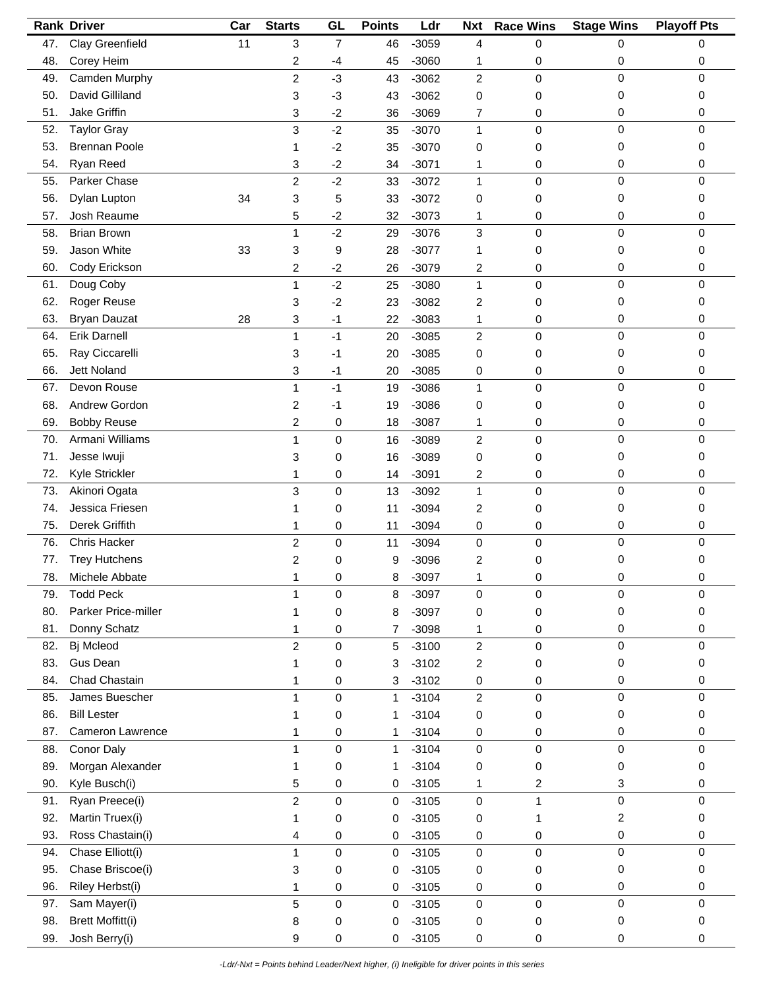|     | <b>Rank Driver</b>      | Car | <b>Starts</b>  | GL             | <b>Points</b> | Ldr     | <b>Nxt</b>       | <b>Race Wins</b> | <b>Stage Wins</b> | <b>Playoff Pts</b> |
|-----|-------------------------|-----|----------------|----------------|---------------|---------|------------------|------------------|-------------------|--------------------|
| 47. | Clay Greenfield         | 11  | 3              | $\overline{7}$ | 46            | $-3059$ | 4                | 0                | 0                 | 0                  |
| 48. | Corey Heim              |     | 2              | $-4$           | 45            | $-3060$ | 1                | 0                | 0                 | 0                  |
| 49. | Camden Murphy           |     | $\overline{c}$ | $-3$           | 43            | $-3062$ | $\overline{c}$   | 0                | 0                 | $\mathbf 0$        |
| 50. | David Gilliland         |     | 3              | $-3$           | 43            | $-3062$ | 0                | 0                | 0                 | 0                  |
| 51. | Jake Griffin            |     | 3              | $-2$           | 36            | $-3069$ | 7                | 0                | 0                 | 0                  |
| 52. | <b>Taylor Gray</b>      |     | 3              | $-2$           | 35            | $-3070$ | $\mathbf{1}$     | 0                | $\pmb{0}$         | $\mathbf 0$        |
| 53. | <b>Brennan Poole</b>    |     | 1              | $-2$           | 35            | $-3070$ | 0                | 0                | 0                 | 0                  |
|     |                         |     |                |                |               |         |                  |                  |                   |                    |
| 54. | Ryan Reed               |     | 3              | $-2$           | 34            | $-3071$ | 1                | 0                | 0<br>$\mathbf 0$  | 0                  |
| 55. | Parker Chase            |     | $\overline{c}$ | $-2$           | 33            | $-3072$ | 1                | 0                |                   | 0                  |
| 56. | Dylan Lupton            | 34  | 3              | 5              | 33            | $-3072$ | 0                | 0                | 0                 | 0                  |
| 57. | Josh Reaume             |     | 5              | $-2$           | 32            | $-3073$ | 1                | 0                | 0                 | 0                  |
| 58. | <b>Brian Brown</b>      |     | 1              | $-2$           | 29            | $-3076$ | 3                | 0                | $\pmb{0}$         | 0                  |
| 59. | Jason White             | 33  | 3              | 9              | 28            | $-3077$ | 1                | 0                | 0                 | 0                  |
| 60. | Cody Erickson           |     | 2              | $-2$           | 26            | $-3079$ | 2                | 0                | 0                 | 0                  |
| 61. | Doug Coby               |     | 1              | $-2$           | 25            | $-3080$ | $\mathbf{1}$     | 0                | 0                 | 0                  |
| 62. | Roger Reuse             |     | 3              | $-2$           | 23            | $-3082$ | 2                | 0                | 0                 | 0                  |
| 63. | <b>Bryan Dauzat</b>     | 28  | 3              | $-1$           | 22            | $-3083$ | 1                | 0                | 0                 | 0                  |
| 64. | <b>Erik Darnell</b>     |     | 1              | $-1$           | 20            | $-3085$ | $\overline{c}$   | 0                | 0                 | $\mathbf 0$        |
| 65. | Ray Ciccarelli          |     | 3              | $-1$           | 20            | $-3085$ | 0                | 0                | 0                 | 0                  |
| 66. | Jett Noland             |     | 3              | $-1$           | 20            | $-3085$ | 0                | 0                | 0                 | 0                  |
| 67. | Devon Rouse             |     | 1              | $-1$           | 19            | $-3086$ | 1                | 0                | $\pmb{0}$         | $\mathbf 0$        |
| 68. | Andrew Gordon           |     | 2              | $-1$           | 19            | $-3086$ | 0                | 0                | 0                 | 0                  |
| 69. | <b>Bobby Reuse</b>      |     | $\overline{c}$ | 0              | 18            | $-3087$ | 1                | 0                | 0                 | 0                  |
| 70. | Armani Williams         |     | 1              | 0              | 16            | $-3089$ | $\overline{c}$   | 0                | $\pmb{0}$         | $\mathbf 0$        |
| 71. | Jesse Iwuji             |     | 3              | 0              | 16            | $-3089$ | 0                | 0                | 0                 | 0                  |
| 72. | Kyle Strickler          |     | 1              | 0              | 14            | $-3091$ | 2                | 0                | 0                 | 0                  |
| 73. | Akinori Ogata           |     | 3              | 0              | 13            | $-3092$ | $\mathbf{1}$     | 0                | $\mathbf 0$       | $\mathbf 0$        |
| 74. | Jessica Friesen         |     | 1              | 0              | 11            | $-3094$ | 2                | 0                | 0                 | 0                  |
| 75. | Derek Griffith          |     | 1              | 0              | 11            | $-3094$ | 0                | 0                | 0                 | 0                  |
| 76. | <b>Chris Hacker</b>     |     | $\overline{c}$ | $\mathsf 0$    | 11            | $-3094$ | $\mathsf 0$      | 0                | $\mathbf 0$       | $\mathbf 0$        |
| 77. | <b>Trey Hutchens</b>    |     | 2              | 0              | 9             | $-3096$ | 2                | 0                | 0                 | 0                  |
| 78. | Michele Abbate          |     | 1              | 0              | 8             | $-3097$ | 1                | 0                | 0                 | 0                  |
| 79. | <b>Todd Peck</b>        |     | 1              | 0              | 8             | $-3097$ | 0                | 0                | 0                 | 0                  |
| 80. | Parker Price-miller     |     | 1              | 0              | 8             | $-3097$ |                  |                  | 0                 | 0                  |
| 81. | Donny Schatz            |     |                |                |               | $-3098$ | 0                | 0                |                   | 0                  |
| 82. |                         |     | 1              | 0              | 7             |         | 1                | 0                | 0<br>0            | 0                  |
|     | Bj Mcleod               |     | $\overline{c}$ | 0              | $\sqrt{5}$    | $-3100$ | $\boldsymbol{2}$ | 0                |                   |                    |
| 83. | Gus Dean                |     | 1              | 0              | 3             | $-3102$ | 2                | 0                | 0                 | 0                  |
| 84. | Chad Chastain           |     | 1              | 0              | 3             | $-3102$ | 0                | 0                | 0                 | 0                  |
| 85. | James Buescher          |     | 1              | 0              | $\mathbf{1}$  | $-3104$ | $\overline{2}$   | 0                | 0                 | 0                  |
| 86. | <b>Bill Lester</b>      |     | 1              | 0              | 1             | $-3104$ | 0                | 0                | 0                 | 0                  |
| 87. | Cameron Lawrence        |     | 1              | 0              | 1             | $-3104$ | 0                | 0                | 0                 | 0                  |
| 88. | Conor Daly              |     | 1              | 0              | 1             | $-3104$ | 0                | 0                | 0                 | $\mathbf 0$        |
| 89. | Morgan Alexander        |     | 1              | 0              | 1             | $-3104$ | 0                | 0                | 0                 | 0                  |
| 90. | Kyle Busch(i)           |     | 5              | 0              | 0             | $-3105$ | 1                | 2                | 3                 | 0                  |
| 91. | Ryan Preece(i)          |     | $\overline{c}$ | 0              | $\mathbf 0$   | $-3105$ | 0                | 1                | 0                 | $\mathbf 0$        |
| 92. | Martin Truex(i)         |     | 1              | 0              | 0             | $-3105$ | 0                | 1                | 2                 | 0                  |
| 93. | Ross Chastain(i)        |     | 4              | 0              | 0             | $-3105$ | 0                | 0                | 0                 | 0                  |
| 94. | Chase Elliott(i)        |     | 1              | 0              | $\pmb{0}$     | $-3105$ | $\pmb{0}$        | 0                | $\pmb{0}$         | $\mathbf 0$        |
| 95. | Chase Briscoe(i)        |     | 3              | 0              | 0             | $-3105$ | 0                | 0                | 0                 | 0                  |
| 96. | Riley Herbst(i)         |     | 1              | 0              | 0             | $-3105$ | 0                | 0                | 0                 | 0                  |
| 97. | Sam Mayer(i)            |     | 5              | 0              | $\mathbf 0$   | $-3105$ | 0                | 0                | $\pmb{0}$         | $\mathbf 0$        |
| 98. | <b>Brett Moffitt(i)</b> |     | 8              | 0              | 0             | $-3105$ | 0                | 0                | 0                 | 0                  |
| 99. | Josh Berry(i)           |     | 9              | 0              | 0             | $-3105$ | 0                | 0                | 0                 | 0                  |